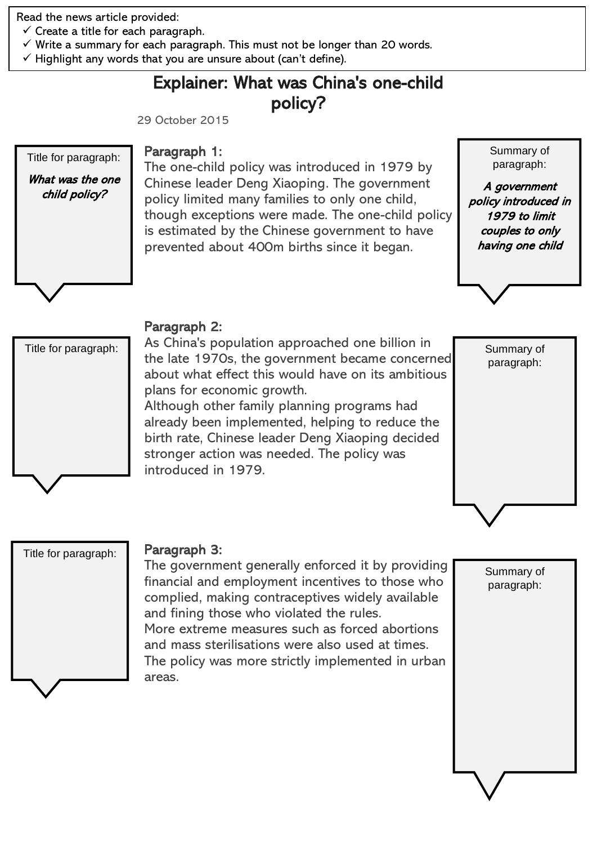Read the news article provided:

- $\checkmark$  Create a title for each paragraph.
- $\checkmark$  Write a summary for each paragraph. This must not be longer than 20 words.
- $\checkmark$  Highlight any words that you are unsure about (can't define).

## Explainer: What was China's one-child policy?

29 October 2015

# Title for paragraph: What was the one child policy?

#### Paragraph 1:

The one-child policy was introduced in 1979 by Chinese leader Deng Xiaoping. The government policy limited many families to only one child, though exceptions were made. The one-child policy is estimated by the Chinese government to have prevented about 400m births since it began.

Summary of paragraph:

A government policy introduced in 1979 to limit couples to only having one child





### Paragraph 2:

As China's population approached one billion in the late 1970s, the government became concerned about what effect this would have on its ambitious plans for economic growth.

Although other family planning programs had already been implemented, helping to reduce the birth rate, Chinese leader Deng Xiaoping decided stronger action was needed. The policy was introduced in 1979.



Summary of paragraph:

Title for paragraph:

#### Paragraph 3:

The government generally enforced it by providing financial and employment incentives to those who complied, making contraceptives widely available and fining those who violated the rules. More extreme measures such as forced abortions and mass sterilisations were also used at times. The policy was more strictly implemented in urban areas.